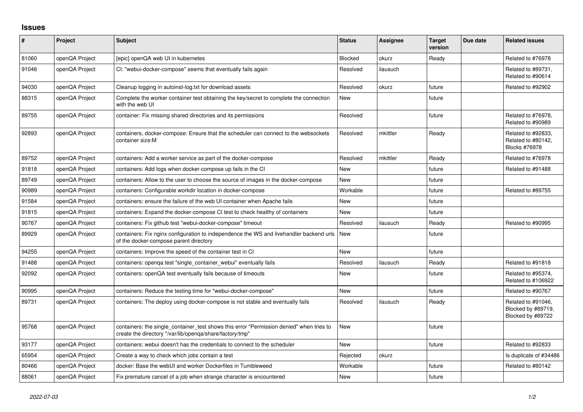## **Issues**

| #     | Project        | Subject                                                                                                                                              | <b>Status</b> | <b>Assignee</b> | <b>Target</b><br>version | Due date | <b>Related issues</b>                                            |
|-------|----------------|------------------------------------------------------------------------------------------------------------------------------------------------------|---------------|-----------------|--------------------------|----------|------------------------------------------------------------------|
| 81060 | openQA Project | [epic] openQA web UI in kubernetes                                                                                                                   | Blocked       | okurz           | Ready                    |          | Related to #76978                                                |
| 91046 | openQA Project | CI: "webui-docker-compose" seems that eventually fails again                                                                                         | Resolved      | ilausuch        |                          |          | Related to #89731.<br>Related to #90614                          |
| 94030 | openQA Project | Cleanup logging in autoinst-log.txt for download assets                                                                                              | Resolved      | okurz           | future                   |          | Related to #92902                                                |
| 88315 | openQA Project | Complete the worker container test obtaining the key/secret to complete the connection<br>with the web UI                                            | New           |                 | future                   |          |                                                                  |
| 89755 | openQA Project | container: Fix missing shared directories and its permissions                                                                                        | Resolved      |                 | future                   |          | Related to #76978.<br>Related to #90989                          |
| 92893 | openQA Project | containers, docker-compose: Ensure that the scheduler can connect to the websockets<br>container size:M                                              | Resolved      | mkittler        | Ready                    |          | Related to #92833.<br>Related to #80142,<br><b>Blocks #76978</b> |
| 89752 | openQA Project | containers: Add a worker service as part of the docker-compose                                                                                       | Resolved      | mkittler        | Ready                    |          | Related to #76978                                                |
| 91818 | openQA Project | containers: Add logs when docker-compose up fails in the CI                                                                                          | <b>New</b>    |                 | future                   |          | Related to #91488                                                |
| 89749 | openQA Project | containers: Allow to the user to choose the source of images in the docker-compose                                                                   | <b>New</b>    |                 | future                   |          |                                                                  |
| 90989 | openQA Project | containers: Configurable workdir location in docker-compose                                                                                          | Workable      |                 | future                   |          | Related to #89755                                                |
| 91584 | openQA Project | containers: ensure the failure of the web UI container when Apache fails                                                                             | <b>New</b>    |                 | future                   |          |                                                                  |
| 91815 | openQA Project | containers: Expand the docker-compose CI test to check healthy of containers                                                                         | New           |                 | future                   |          |                                                                  |
| 90767 | openQA Project | containers: Fix github test "webui-docker-compose" timeout                                                                                           | Resolved      | ilausuch        | Ready                    |          | Related to #90995                                                |
| 89929 | openQA Project | containers: Fix nginx configuration to independence the WS and livehandler backend urls<br>of the docker-compose parent directory                    | New           |                 | future                   |          |                                                                  |
| 94255 | openQA Project | containers: Improve the speed of the container test in CI                                                                                            | <b>New</b>    |                 | future                   |          |                                                                  |
| 91488 | openQA Project | containers: openga test "single container webui" eventually fails                                                                                    | Resolved      | ilausuch        | Ready                    |          | Related to #91818                                                |
| 92092 | openQA Project | containers: openQA test eventually fails because of timeouts                                                                                         | <b>New</b>    |                 | future                   |          | Related to #95374,<br>Related to #106922                         |
| 90995 | openQA Project | containers: Reduce the testing time for "webui-docker-compose"                                                                                       | <b>New</b>    |                 | future                   |          | Related to #90767                                                |
| 89731 | openQA Project | containers: The deploy using docker-compose is not stable and eventually fails                                                                       | Resolved      | ilausuch        | Ready                    |          | Related to #91046,<br>Blocked by #89719,<br>Blocked by #89722    |
| 95768 | openQA Project | containers: the single container test shows this error "Permission denied" when tries to<br>create the directory "/var/lib/openqa/share/factory/tmp" | <b>New</b>    |                 | future                   |          |                                                                  |
| 93177 | openQA Project | containers: webui doesn't has the credentials to connect to the scheduler                                                                            | <b>New</b>    |                 | future                   |          | Related to #92833                                                |
| 65954 | openQA Project | Create a way to check which jobs contain a test                                                                                                      | Rejected      | okurz           |                          |          | Is duplicate of #34486                                           |
| 80466 | openQA Project | docker: Base the webUI and worker Dockerfiles in Tumbleweed                                                                                          | Workable      |                 | future                   |          | Related to #80142                                                |
| 88061 | openQA Project | Fix premature cancel of a job when strange character is encountered                                                                                  | <b>New</b>    |                 | future                   |          |                                                                  |